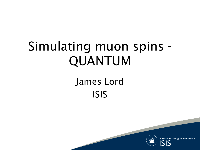#### Simulating muon spins - QUANTUM

#### James Lord ISIS



**Science & Technology Facilities Council**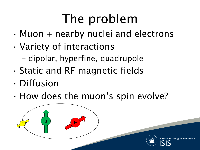### The problem

- $\cdot$  Muon + nearby nuclei and electrons
- Variety of interactions
	- dipolar, hyperfine, quadrupole
- Static and RF magnetic fields
- Diffusion
- How does the muon's spin evolve?





**Technology Facilities**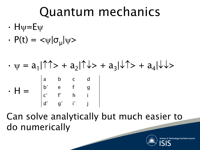#### Quantum mechanics

- $H\psi = E\Psi$
- $\cdot$  P(t) =  $\langle \psi | \sigma_{\mu} | \psi \rangle$
- $\cdot \psi = a_1 |\hat{T} \hat{T} > + a_2 |\hat{T} \hat{T} > + a_3 |\hat{T} > + a_4 |\hat{T} >$  $\cdot$  H = a b c d b\* e f g c \* f \* h i  $d^*$   $g^*$  i\* j

Can solve analytically but much easier to do numerically



**Technology Facilit**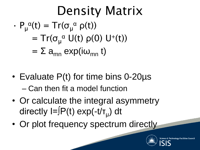#### Density Matrix  $\cdot$  P<sub>u</sub><sup> $\alpha$ </sup>(t) = Tr( $\sigma_{\mu}^{\alpha}$   $\rho$ (t))  $= Tr(\sigma_\mu{}^\alpha U(t) \rho(0) U^+(t))$  $= \Sigma$  a<sub>mn</sub> exp(i $\omega_{mn}$  t)

- Evaluate P(t) for time bins 0-20µs – Can then fit a model function
- Or calculate the integral asymmetry directly I=∫P(t) exp(-t/τ<sub>μ</sub>) dt
- Or plot frequency spectrum directly

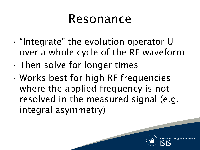#### Resonance

- "Integrate" the evolution operator U over a whole cycle of the RF waveform
- Then solve for longer times
- Works best for high RF frequencies where the applied frequency is not resolved in the measured signal (e.g. integral asymmetry)

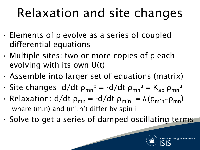### Relaxation and site changes

- Elements of ρ evolve as a series of coupled differential equations
- Multiple sites: two or more copies of ρ each evolving with its own U(t)
- Assemble into larger set of equations (matrix)
- $\cdot$  Site changes: d/dt  $\rho_{mn}^b = -d/dt \rho_{mn}^a = K_{ab} \rho_{mn}^a$
- Relaxation:  $d/dt \rho_{mn} = -d/dt \rho_{m'n'} = \lambda_i(\rho_{m'n'} \rho_{mn})$ where (m,n) and (m',n') differ by spin i
- Solve to get a series of damped oscillating terms

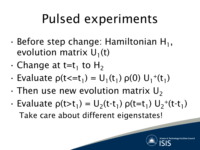### Pulsed experiments

- $\cdot$  Before step change: Hamiltonian H<sub>1</sub>, evolution matrix  $U_1(t)$
- $\cdot$  Change at t=t<sub>1</sub> to H<sub>2</sub>
- Evaluate  $\rho(t \le t_1) = U_1(t_1) \rho(0) U_1^+(t_1)$
- $\cdot$  Then use new evolution matrix U<sub>2</sub>
- Evaluate  $\rho(t>t_1) = U_2(t-t_1) \rho(t=t_1) U_2^+(t-t_1)$ Take care about different eigenstates!

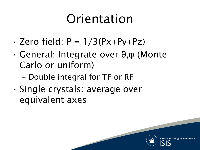#### Orientation

- $\cdot$  Zero field:  $P = 1/3(Px+Py+Pz)$
- General: Integrate over θ,φ (Monte Carlo or uniform)
	- Double integral for TF or RF
- Single crystals: average over equivalent axes

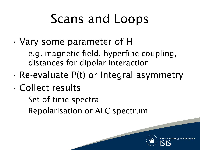### Scans and Loops

- Vary some parameter of H
	- e.g. magnetic field, hyperfine coupling, distances for dipolar interaction
- Re-evaluate P(t) or Integral asymmetry
- Collect results
	- Set of time spectra
	- Repolarisation or ALC spectrum

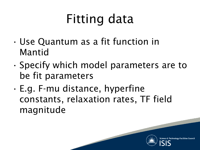## Fitting data

- Use Quantum as a fit function in Mantid
- Specify which model parameters are to be fit parameters
- E.g. F-mu distance, hyperfine constants, relaxation rates, TF field magnitude

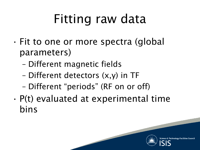### Fitting raw data

- Fit to one or more spectra (global parameters)
	- Different magnetic fields
	- Different detectors (x,y) in TF
	- Different "periods" (RF on or off)
- P(t) evaluated at experimental time bins

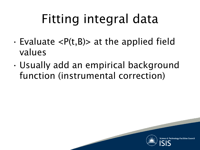# Fitting integral data

- $\cdot$  Evaluate  $\langle P(t,B) \rangle$  at the applied field values
- Usually add an empirical background function (instrumental correction)



**Technology Facilities**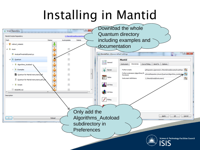#### Installing in Mantid

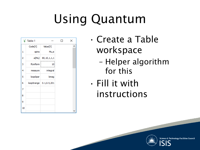# Using Quantum



- Create a Table workspace
	- Helper algorithm for this
- Fill it with instructions

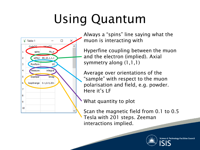# Using Quantum



Always a "spins" line saying what the muon is interacting with

Hyperfine coupling between the muon and the electron (implied). Axial symmetry along (1,1,1)

Average over orientations of the "sample" with respect to the muon polarisation and field, e.g. powder. Here it's LF

What quantity to plot

Scan the magnetic field from 0.1 to 0.5 Tesla with 201 steps. Zeeman interactions implied.

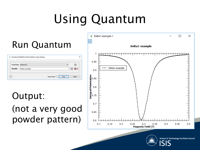# Using Quantum



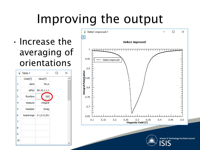### Improving the output

• Increase the averaging of orientations





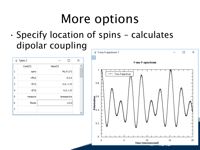#### More options

• Specify location of spins – calculates dipolar coupling

|   | Table-3 | П             | $\times$ |
|---|---------|---------------|----------|
|   | Code[Y] | Value[Y]      | ۸        |
| 1 | spins   | Mu,F1,F2      |          |
| 2 | r(Mu)   | 0, 0, 0       |          |
| 3 | r(F1)   | $0, 0, -1.23$ |          |
| 4 | r(F2)   | 0,0,1.23      |          |
| 5 | measure | timespectra   |          |
| 6 | Ifaxes  | 1,0,0<br>     |          |
| 7 |         |               |          |
|   |         |               |          |

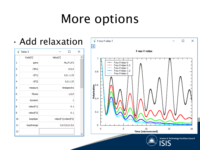#### More options

• Add relaxation

|    | Table-3       |                     | × |
|----|---------------|---------------------|---|
|    | Code[Y]       | Value[Y]            |   |
| 1  | spins         | Mu,F1,F2            |   |
| 2  | r(Mu)         | 0, 0, 0             |   |
| 3  | r(F1)         | $0, 0, -1.23$       |   |
| 4  | r(F2)         | 0, 0, 1.23          |   |
| 5  | measure       | timespectra         |   |
| 6  | <b>Ifaxes</b> | 1,0,0               |   |
| 7  | dynamic       | 1                   |   |
| 8  | relax(F1)     | 0.1                 |   |
| 9  | relax(F2)     | 0.1                 |   |
| 10 | loop0par      | relax(F1);relax(F2) |   |
| 11 | loop0range    | 0,0.5,0,0.5,6       |   |
| 12 |               |                     |   |





Science & Technology Facilities Council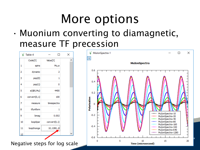#### More options

• Muonium converting to diamagnetic, measure TF precession

|    | Table-4      |                | × |
|----|--------------|----------------|---|
|    | Code[Y]      | Value[Y]       |   |
| 1  | spins        | Mu,e           |   |
| 2  | dynamic      | 2              |   |
| з  | pop(0)       | 1              |   |
| 4  | pop(1)       | 0              |   |
| 5  | a(@0,Mu)     | 4400           |   |
| 6  | convert(0,1) | 100            |   |
| 7  | measure      | timespectra    |   |
| 8  | tfuniform    | 1              |   |
| 9  | bmag         | 0.002          |   |
| 10 | loop0par     | convert(0,1)   |   |
| 11 | loop0range   | $10, 1280, -8$ |   |
|    |              |                |   |
|    |              |                |   |

Negative steps for log scale

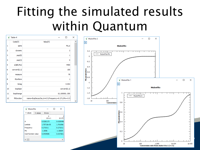#### Fitting the simulated results within Quantum

| × |                                                 | Table-4       |    |
|---|-------------------------------------------------|---------------|----|
|   | Value[Y]                                        | Code[Y]       |    |
|   | Mu,e                                            | spins         | 1  |
|   | 2                                               | dynamic       | 2  |
|   | 1                                               | pop(0)        | 3  |
|   | 0                                               | pop(1)        | 4  |
|   | 4400                                            | a(@0,Mu)      | 5  |
|   | 100                                             | convert(0, 1) | 6  |
|   | fit                                             | measure       | 7  |
|   | 1                                               | tfuniform     | 8  |
|   | 0.002                                           | bmag          | 9  |
|   | convert(0,1)                                    | loop0par      | 10 |
|   | 10,100000,-200                                  | loop0range    | 11 |
|   | name=ExpDecayOsc,A=0.5,Frequency=0.271,Phi=-0.5 | fitfunction   | 12 |
|   |                                                 |               |    |

| <b>MulonFits</b>    |          |               | ιI | ×          |
|---------------------|----------|---------------|----|------------|
| <b>Y</b> values     | X values | <b>Frrors</b> |    |            |
|                     |          | n<br>$10As-1$ |    | 10.473     |
| А                   |          | 0.0282173     |    | 0.0295496  |
| Lambda              |          | 1.70715e-05   |    | 1.76169e-  |
| Frequency           |          | 0.271011      |    | 0.271011   |
| Phi                 |          | $-1.5096$     |    | $-1.50694$ |
| Cost function value |          | 0.0404696     |    | 0.0372813  |
|                     |          |               |    |            |
|                     |          |               |    |            |

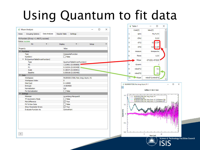### Using Quantum to fit data